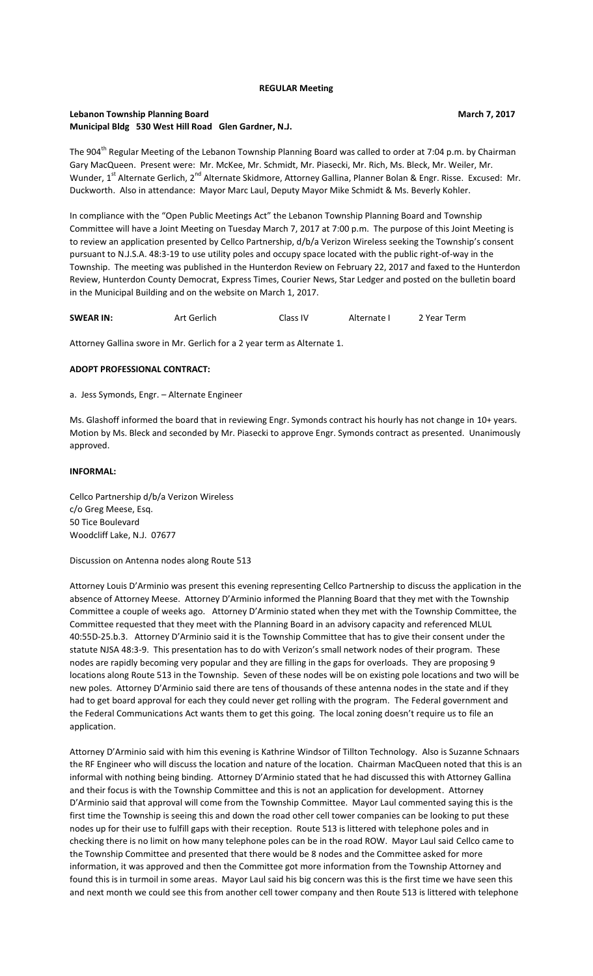#### **REGULAR Meeting**

## **Lebanon Township Planning Board March 7, 2017** and the United States of the March 7, 2017 **Municipal Bldg 530 West Hill Road Glen Gardner, N.J.**

The 904<sup>th</sup> Regular Meeting of the Lebanon Township Planning Board was called to order at 7:04 p.m. by Chairman Gary MacQueen. Present were: Mr. McKee, Mr. Schmidt, Mr. Piasecki, Mr. Rich, Ms. Bleck, Mr. Weiler, Mr. Wunder, 1<sup>st</sup> Alternate Gerlich, 2<sup>nd</sup> Alternate Skidmore, Attorney Gallina, Planner Bolan & Engr. Risse. Excused: Mr. Duckworth. Also in attendance: Mayor Marc Laul, Deputy Mayor Mike Schmidt & Ms. Beverly Kohler.

In compliance with the "Open Public Meetings Act" the Lebanon Township Planning Board and Township Committee will have a Joint Meeting on Tuesday March 7, 2017 at 7:00 p.m. The purpose of this Joint Meeting is to review an application presented by Cellco Partnership, d/b/a Verizon Wireless seeking the Township's consent pursuant to N.J.S.A. 48:3-19 to use utility poles and occupy space located with the public right-of-way in the Township. The meeting was published in the Hunterdon Review on February 22, 2017 and faxed to the Hunterdon Review, Hunterdon County Democrat, Express Times, Courier News, Star Ledger and posted on the bulletin board in the Municipal Building and on the website on March 1, 2017.

| <b>SWEAR IN:</b> | Art Gerlich | Class IV | Alternate I | 2 Year Term |
|------------------|-------------|----------|-------------|-------------|
|                  |             |          |             |             |

Attorney Gallina swore in Mr. Gerlich for a 2 year term as Alternate 1.

### **ADOPT PROFESSIONAL CONTRACT:**

a. Jess Symonds, Engr. – Alternate Engineer

Ms. Glashoff informed the board that in reviewing Engr. Symonds contract his hourly has not change in 10+ years. Motion by Ms. Bleck and seconded by Mr. Piasecki to approve Engr. Symonds contract as presented. Unanimously approved.

### **INFORMAL:**

Cellco Partnership d/b/a Verizon Wireless c/o Greg Meese, Esq. 50 Tice Boulevard Woodcliff Lake, N.J. 07677

Discussion on Antenna nodes along Route 513

Attorney Louis D'Arminio was present this evening representing Cellco Partnership to discuss the application in the absence of Attorney Meese. Attorney D'Arminio informed the Planning Board that they met with the Township Committee a couple of weeks ago. Attorney D'Arminio stated when they met with the Township Committee, the Committee requested that they meet with the Planning Board in an advisory capacity and referenced MLUL 40:55D-25.b.3. Attorney D'Arminio said it is the Township Committee that has to give their consent under the statute NJSA 48:3-9. This presentation has to do with Verizon's small network nodes of their program. These nodes are rapidly becoming very popular and they are filling in the gaps for overloads. They are proposing 9 locations along Route 513 in the Township. Seven of these nodes will be on existing pole locations and two will be new poles. Attorney D'Arminio said there are tens of thousands of these antenna nodes in the state and if they had to get board approval for each they could never get rolling with the program. The Federal government and the Federal Communications Act wants them to get this going. The local zoning doesn't require us to file an application.

Attorney D'Arminio said with him this evening is Kathrine Windsor of Tillton Technology. Also is Suzanne Schnaars the RF Engineer who will discuss the location and nature of the location. Chairman MacQueen noted that this is an informal with nothing being binding. Attorney D'Arminio stated that he had discussed this with Attorney Gallina and their focus is with the Township Committee and this is not an application for development. Attorney D'Arminio said that approval will come from the Township Committee. Mayor Laul commented saying this is the first time the Township is seeing this and down the road other cell tower companies can be looking to put these nodes up for their use to fulfill gaps with their reception. Route 513 is littered with telephone poles and in checking there is no limit on how many telephone poles can be in the road ROW. Mayor Laul said Cellco came to the Township Committee and presented that there would be 8 nodes and the Committee asked for more information, it was approved and then the Committee got more information from the Township Attorney and found this is in turmoil in some areas. Mayor Laul said his big concern was this is the first time we have seen this and next month we could see this from another cell tower company and then Route 513 is littered with telephone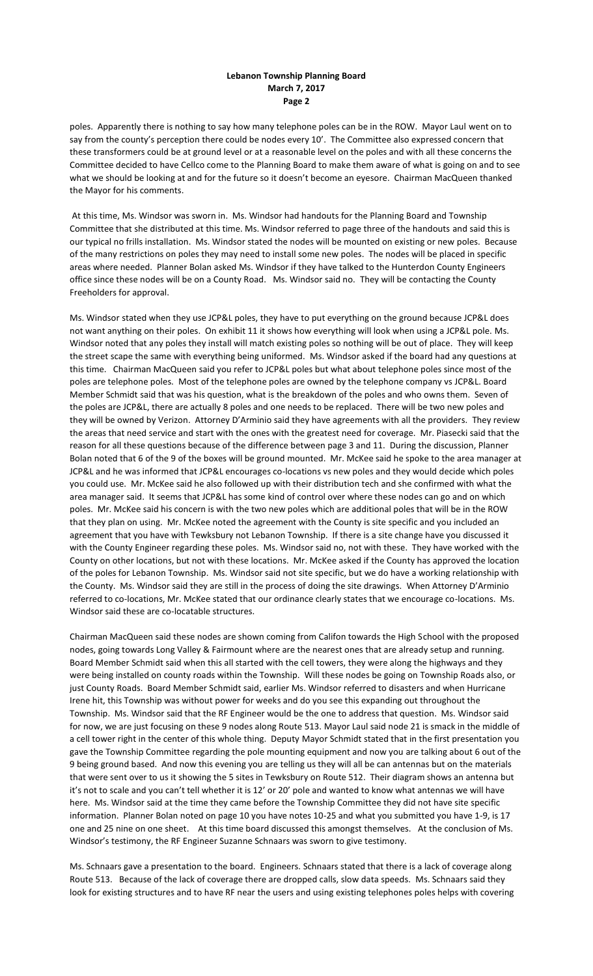## **Lebanon Township Planning Board March 7, 2017 Page 2**

poles. Apparently there is nothing to say how many telephone poles can be in the ROW. Mayor Laul went on to say from the county's perception there could be nodes every 10'. The Committee also expressed concern that these transformers could be at ground level or at a reasonable level on the poles and with all these concerns the Committee decided to have Cellco come to the Planning Board to make them aware of what is going on and to see what we should be looking at and for the future so it doesn't become an eyesore. Chairman MacQueen thanked the Mayor for his comments.

At this time, Ms. Windsor was sworn in. Ms. Windsor had handouts for the Planning Board and Township Committee that she distributed at this time. Ms. Windsor referred to page three of the handouts and said this is our typical no frills installation. Ms. Windsor stated the nodes will be mounted on existing or new poles. Because of the many restrictions on poles they may need to install some new poles. The nodes will be placed in specific areas where needed. Planner Bolan asked Ms. Windsor if they have talked to the Hunterdon County Engineers office since these nodes will be on a County Road. Ms. Windsor said no. They will be contacting the County Freeholders for approval.

Ms. Windsor stated when they use JCP&L poles, they have to put everything on the ground because JCP&L does not want anything on their poles. On exhibit 11 it shows how everything will look when using a JCP&L pole. Ms. Windsor noted that any poles they install will match existing poles so nothing will be out of place. They will keep the street scape the same with everything being uniformed. Ms. Windsor asked if the board had any questions at this time. Chairman MacQueen said you refer to JCP&L poles but what about telephone poles since most of the poles are telephone poles. Most of the telephone poles are owned by the telephone company vs JCP&L. Board Member Schmidt said that was his question, what is the breakdown of the poles and who owns them. Seven of the poles are JCP&L, there are actually 8 poles and one needs to be replaced. There will be two new poles and they will be owned by Verizon. Attorney D'Arminio said they have agreements with all the providers. They review the areas that need service and start with the ones with the greatest need for coverage. Mr. Piasecki said that the reason for all these questions because of the difference between page 3 and 11. During the discussion, Planner Bolan noted that 6 of the 9 of the boxes will be ground mounted. Mr. McKee said he spoke to the area manager at JCP&L and he was informed that JCP&L encourages co-locations vs new poles and they would decide which poles you could use. Mr. McKee said he also followed up with their distribution tech and she confirmed with what the area manager said. It seems that JCP&L has some kind of control over where these nodes can go and on which poles. Mr. McKee said his concern is with the two new poles which are additional poles that will be in the ROW that they plan on using. Mr. McKee noted the agreement with the County is site specific and you included an agreement that you have with Tewksbury not Lebanon Township. If there is a site change have you discussed it with the County Engineer regarding these poles. Ms. Windsor said no, not with these. They have worked with the County on other locations, but not with these locations. Mr. McKee asked if the County has approved the location of the poles for Lebanon Township. Ms. Windsor said not site specific, but we do have a working relationship with the County. Ms. Windsor said they are still in the process of doing the site drawings. When Attorney D'Arminio referred to co-locations, Mr. McKee stated that our ordinance clearly states that we encourage co-locations. Ms. Windsor said these are co-locatable structures.

Chairman MacQueen said these nodes are shown coming from Califon towards the High School with the proposed nodes, going towards Long Valley & Fairmount where are the nearest ones that are already setup and running. Board Member Schmidt said when this all started with the cell towers, they were along the highways and they were being installed on county roads within the Township. Will these nodes be going on Township Roads also, or just County Roads. Board Member Schmidt said, earlier Ms. Windsor referred to disasters and when Hurricane Irene hit, this Township was without power for weeks and do you see this expanding out throughout the Township. Ms. Windsor said that the RF Engineer would be the one to address that question. Ms. Windsor said for now, we are just focusing on these 9 nodes along Route 513. Mayor Laul said node 21 is smack in the middle of a cell tower right in the center of this whole thing. Deputy Mayor Schmidt stated that in the first presentation you gave the Township Committee regarding the pole mounting equipment and now you are talking about 6 out of the 9 being ground based. And now this evening you are telling us they will all be can antennas but on the materials that were sent over to us it showing the 5 sites in Tewksbury on Route 512. Their diagram shows an antenna but it's not to scale and you can't tell whether it is 12' or 20' pole and wanted to know what antennas we will have here. Ms. Windsor said at the time they came before the Township Committee they did not have site specific information. Planner Bolan noted on page 10 you have notes 10-25 and what you submitted you have 1-9, is 17 one and 25 nine on one sheet. At this time board discussed this amongst themselves. At the conclusion of Ms. Windsor's testimony, the RF Engineer Suzanne Schnaars was sworn to give testimony.

Ms. Schnaars gave a presentation to the board. Engineers. Schnaars stated that there is a lack of coverage along Route 513. Because of the lack of coverage there are dropped calls, slow data speeds. Ms. Schnaars said they look for existing structures and to have RF near the users and using existing telephones poles helps with covering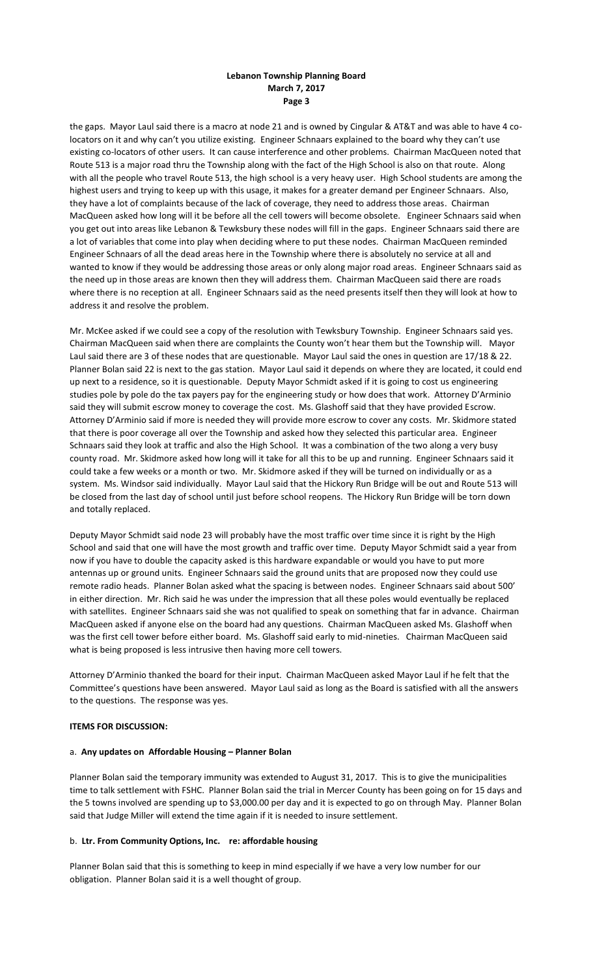# **Lebanon Township Planning Board March 7, 2017 Page 3**

the gaps. Mayor Laul said there is a macro at node 21 and is owned by Cingular & AT&T and was able to have 4 colocators on it and why can't you utilize existing. Engineer Schnaars explained to the board why they can't use existing co-locators of other users. It can cause interference and other problems. Chairman MacQueen noted that Route 513 is a major road thru the Township along with the fact of the High School is also on that route. Along with all the people who travel Route 513, the high school is a very heavy user. High School students are among the highest users and trying to keep up with this usage, it makes for a greater demand per Engineer Schnaars. Also, they have a lot of complaints because of the lack of coverage, they need to address those areas. Chairman MacQueen asked how long will it be before all the cell towers will become obsolete. Engineer Schnaars said when you get out into areas like Lebanon & Tewksbury these nodes will fill in the gaps. Engineer Schnaars said there are a lot of variables that come into play when deciding where to put these nodes. Chairman MacQueen reminded Engineer Schnaars of all the dead areas here in the Township where there is absolutely no service at all and wanted to know if they would be addressing those areas or only along major road areas. Engineer Schnaars said as the need up in those areas are known then they will address them. Chairman MacQueen said there are roads where there is no reception at all. Engineer Schnaars said as the need presents itself then they will look at how to address it and resolve the problem.

Mr. McKee asked if we could see a copy of the resolution with Tewksbury Township. Engineer Schnaars said yes. Chairman MacQueen said when there are complaints the County won't hear them but the Township will. Mayor Laul said there are 3 of these nodes that are questionable. Mayor Laul said the ones in question are 17/18 & 22. Planner Bolan said 22 is next to the gas station. Mayor Laul said it depends on where they are located, it could end up next to a residence, so it is questionable. Deputy Mayor Schmidt asked if it is going to cost us engineering studies pole by pole do the tax payers pay for the engineering study or how does that work. Attorney D'Arminio said they will submit escrow money to coverage the cost. Ms. Glashoff said that they have provided Escrow. Attorney D'Arminio said if more is needed they will provide more escrow to cover any costs. Mr. Skidmore stated that there is poor coverage all over the Township and asked how they selected this particular area. Engineer Schnaars said they look at traffic and also the High School. It was a combination of the two along a very busy county road. Mr. Skidmore asked how long will it take for all this to be up and running. Engineer Schnaars said it could take a few weeks or a month or two. Mr. Skidmore asked if they will be turned on individually or as a system. Ms. Windsor said individually. Mayor Laul said that the Hickory Run Bridge will be out and Route 513 will be closed from the last day of school until just before school reopens. The Hickory Run Bridge will be torn down and totally replaced.

Deputy Mayor Schmidt said node 23 will probably have the most traffic over time since it is right by the High School and said that one will have the most growth and traffic over time. Deputy Mayor Schmidt said a year from now if you have to double the capacity asked is this hardware expandable or would you have to put more antennas up or ground units. Engineer Schnaars said the ground units that are proposed now they could use remote radio heads. Planner Bolan asked what the spacing is between nodes. Engineer Schnaars said about 500' in either direction. Mr. Rich said he was under the impression that all these poles would eventually be replaced with satellites. Engineer Schnaars said she was not qualified to speak on something that far in advance. Chairman MacQueen asked if anyone else on the board had any questions. Chairman MacQueen asked Ms. Glashoff when was the first cell tower before either board. Ms. Glashoff said early to mid-nineties. Chairman MacQueen said what is being proposed is less intrusive then having more cell towers.

Attorney D'Arminio thanked the board for their input. Chairman MacQueen asked Mayor Laul if he felt that the Committee's questions have been answered. Mayor Laul said as long as the Board is satisfied with all the answers to the questions. The response was yes.

### **ITEMS FOR DISCUSSION:**

### a. **Any updates on Affordable Housing – Planner Bolan**

Planner Bolan said the temporary immunity was extended to August 31, 2017. This is to give the municipalities time to talk settlement with FSHC. Planner Bolan said the trial in Mercer County has been going on for 15 days and the 5 towns involved are spending up to \$3,000.00 per day and it is expected to go on through May. Planner Bolan said that Judge Miller will extend the time again if it is needed to insure settlement.

### b. **Ltr. From Community Options, Inc. re: affordable housing**

Planner Bolan said that this is something to keep in mind especially if we have a very low number for our obligation. Planner Bolan said it is a well thought of group.